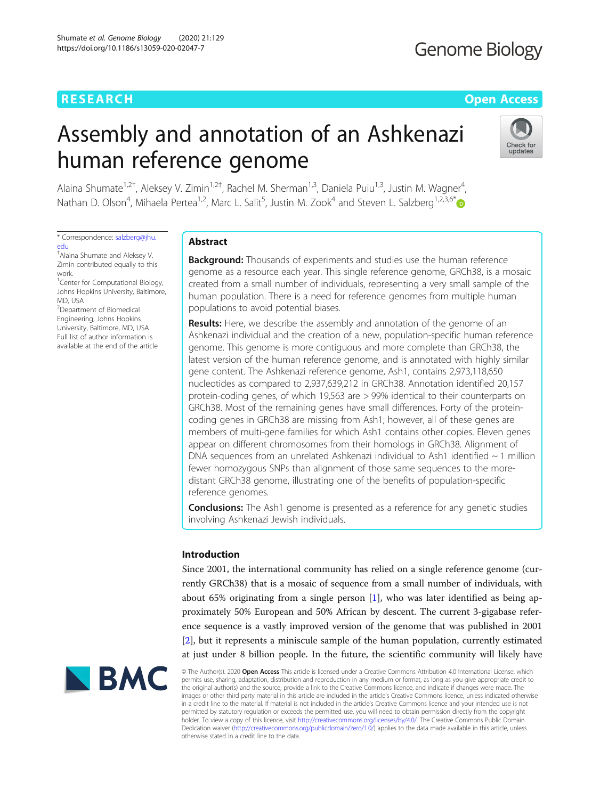## **RESEARCH CHEAR CHEAR CHEAR CHEAR CHEAR CHEAR CHEAR CHEAR CHEAR CHEAR CHEAR CHEAR CHEAR CHEAR CHEAR CHEAR CHEAR**

# Assembly and annotation of an Ashkenazi human reference genome



Alaina Shumate<sup>1,2†</sup>, Aleksey V. Zimin<sup>1,2†</sup>, Rachel M. Sherman<sup>1,3</sup>, Daniela Puiu<sup>1,3</sup>, Justin M. Wagner<sup>4</sup> , Nathan D. Olson<sup>4</sup>, Mihaela Pertea<sup>1,2</sup>, Marc L. Salit<sup>5</sup>, Justin M. Zook<sup>4</sup> and Steven L. Salzberg<sup>1,2,3,6[\\*](http://orcid.org/0000-0002-8859-7432)</sup>

\* Correspondence: [salzberg@jhu.](mailto:salzberg@jhu.edu) [edu](mailto:salzberg@jhu.edu)

† Alaina Shumate and Aleksey V. Zimin contributed equally to this work. <sup>1</sup> Center for Computational Biology, Johns Hopkins University, Baltimore,

MD, USA <sup>2</sup>Department of Biomedical

Engineering, Johns Hopkins University, Baltimore, MD, USA Full list of author information is available at the end of the article

### Abstract

**Background:** Thousands of experiments and studies use the human reference genome as a resource each year. This single reference genome, GRCh38, is a mosaic created from a small number of individuals, representing a very small sample of the human population. There is a need for reference genomes from multiple human populations to avoid potential biases.

Results: Here, we describe the assembly and annotation of the genome of an Ashkenazi individual and the creation of a new, population-specific human reference genome. This genome is more contiguous and more complete than GRCh38, the latest version of the human reference genome, and is annotated with highly similar gene content. The Ashkenazi reference genome, Ash1, contains 2,973,118,650 nucleotides as compared to 2,937,639,212 in GRCh38. Annotation identified 20,157 protein-coding genes, of which 19,563 are > 99% identical to their counterparts on GRCh38. Most of the remaining genes have small differences. Forty of the proteincoding genes in GRCh38 are missing from Ash1; however, all of these genes are members of multi-gene families for which Ash1 contains other copies. Eleven genes appear on different chromosomes from their homologs in GRCh38. Alignment of DNA sequences from an unrelated Ashkenazi individual to Ash1 identified  $\sim$  1 million fewer homozygous SNPs than alignment of those same sequences to the moredistant GRCh38 genome, illustrating one of the benefits of population-specific reference genomes.

**Conclusions:** The Ash1 genome is presented as a reference for any genetic studies involving Ashkenazi Jewish individuals.

### Introduction

Since 2001, the international community has relied on a single reference genome (currently GRCh38) that is a mosaic of sequence from a small number of individuals, with about 65% originating from a single person [[1](#page-16-0)], who was later identified as being approximately 50% European and 50% African by descent. The current 3-gigabase reference sequence is a vastly improved version of the genome that was published in 2001 [[2\]](#page-16-0), but it represents a miniscule sample of the human population, currently estimated at just under 8 billion people. In the future, the scientific community will likely have



© The Author(s). 2020 Open Access This article is licensed under a Creative Commons Attribution 4.0 International License, which permits use, sharing, adaptation, distribution and reproduction in any medium or format, as long as you give appropriate credit to the original author(s) and the source, provide a link to the Creative Commons licence, and indicate if changes were made. The images or other third party material in this article are included in the article's Creative Commons licence, unless indicated otherwise in a credit line to the material. If material is not included in the article's Creative Commons licence and your intended use is not permitted by statutory regulation or exceeds the permitted use, you will need to obtain permission directly from the copyright<br>holder. To view a copy of this licence, visit [http://creativecommons.org/licenses/by/4.0/.](http://creativecommons.org/licenses/by/4.0/) The Dedication waiver [\(http://creativecommons.org/publicdomain/zero/1.0/](http://creativecommons.org/publicdomain/zero/1.0/)) applies to the data made available in this article, unless otherwise stated in a credit line to the data.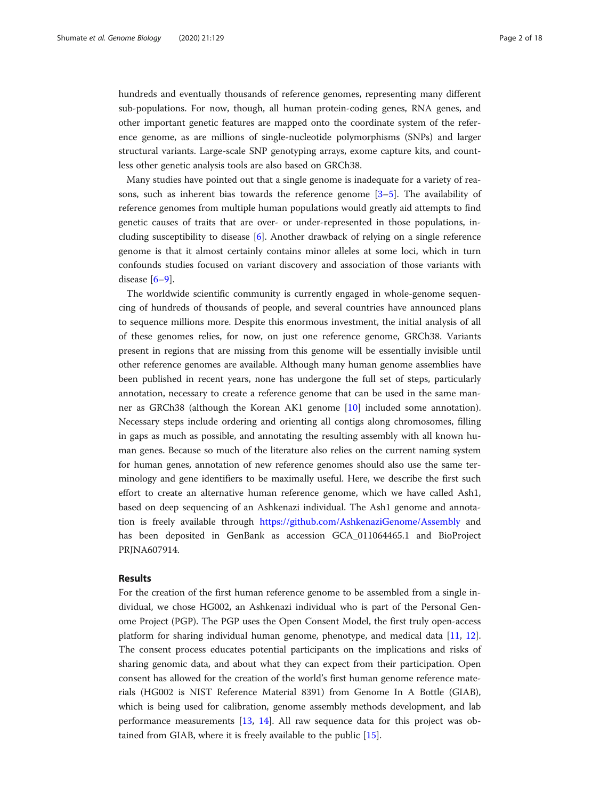hundreds and eventually thousands of reference genomes, representing many different sub-populations. For now, though, all human protein-coding genes, RNA genes, and other important genetic features are mapped onto the coordinate system of the reference genome, as are millions of single-nucleotide polymorphisms (SNPs) and larger structural variants. Large-scale SNP genotyping arrays, exome capture kits, and countless other genetic analysis tools are also based on GRCh38.

Many studies have pointed out that a single genome is inadequate for a variety of reasons, such as inherent bias towards the reference genome  $[3-5]$  $[3-5]$  $[3-5]$ . The availability of reference genomes from multiple human populations would greatly aid attempts to find genetic causes of traits that are over- or under-represented in those populations, including susceptibility to disease [[6\]](#page-16-0). Another drawback of relying on a single reference genome is that it almost certainly contains minor alleles at some loci, which in turn confounds studies focused on variant discovery and association of those variants with disease  $[6-9]$  $[6-9]$  $[6-9]$  $[6-9]$ .

The worldwide scientific community is currently engaged in whole-genome sequencing of hundreds of thousands of people, and several countries have announced plans to sequence millions more. Despite this enormous investment, the initial analysis of all of these genomes relies, for now, on just one reference genome, GRCh38. Variants present in regions that are missing from this genome will be essentially invisible until other reference genomes are available. Although many human genome assemblies have been published in recent years, none has undergone the full set of steps, particularly annotation, necessary to create a reference genome that can be used in the same manner as GRCh38 (although the Korean AK1 genome [\[10](#page-16-0)] included some annotation). Necessary steps include ordering and orienting all contigs along chromosomes, filling in gaps as much as possible, and annotating the resulting assembly with all known human genes. Because so much of the literature also relies on the current naming system for human genes, annotation of new reference genomes should also use the same terminology and gene identifiers to be maximally useful. Here, we describe the first such effort to create an alternative human reference genome, which we have called Ash1, based on deep sequencing of an Ashkenazi individual. The Ash1 genome and annotation is freely available through <https://github.com/AshkenaziGenome/Assembly> and has been deposited in GenBank as accession GCA\_011064465.1 and BioProject PRJNA607914.

#### Results

For the creation of the first human reference genome to be assembled from a single individual, we chose HG002, an Ashkenazi individual who is part of the Personal Genome Project (PGP). The PGP uses the Open Consent Model, the first truly open-access platform for sharing individual human genome, phenotype, and medical data [[11,](#page-16-0) [12](#page-16-0)]. The consent process educates potential participants on the implications and risks of sharing genomic data, and about what they can expect from their participation. Open consent has allowed for the creation of the world's first human genome reference materials (HG002 is NIST Reference Material 8391) from Genome In A Bottle (GIAB), which is being used for calibration, genome assembly methods development, and lab performance measurements [[13](#page-16-0), [14\]](#page-16-0). All raw sequence data for this project was obtained from GIAB, where it is freely available to the public [[15\]](#page-16-0).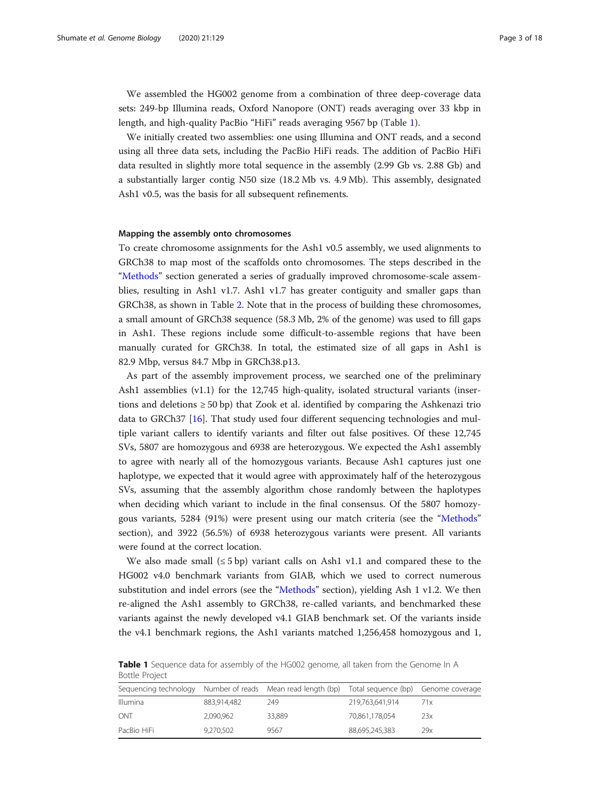We assembled the HG002 genome from a combination of three deep-coverage data sets: 249-bp Illumina reads, Oxford Nanopore (ONT) reads averaging over 33 kbp in length, and high-quality PacBio "HiFi" reads averaging 9567 bp (Table 1).

We initially created two assemblies: one using Illumina and ONT reads, and a second using all three data sets, including the PacBio HiFi reads. The addition of PacBio HiFi data resulted in slightly more total sequence in the assembly (2.99 Gb vs. 2.88 Gb) and a substantially larger contig N50 size (18.2 Mb vs. 4.9 Mb). This assembly, designated Ash1 v0.5, was the basis for all subsequent refinements.

#### Mapping the assembly onto chromosomes

To create chromosome assignments for the Ash1 v0.5 assembly, we used alignments to GRCh38 to map most of the scaffolds onto chromosomes. The steps described in the "[Methods](#page-12-0)" section generated a series of gradually improved chromosome-scale assemblies, resulting in Ash1 v1.7. Ash1 v1.7 has greater contiguity and smaller gaps than GRCh38, as shown in Table [2](#page-3-0). Note that in the process of building these chromosomes, a small amount of GRCh38 sequence (58.3 Mb, 2% of the genome) was used to fill gaps in Ash1. These regions include some difficult-to-assemble regions that have been manually curated for GRCh38. In total, the estimated size of all gaps in Ash1 is 82.9 Mbp, versus 84.7 Mbp in GRCh38.p13.

As part of the assembly improvement process, we searched one of the preliminary Ash1 assemblies (v1.1) for the 12,745 high-quality, isolated structural variants (insertions and deletions  $\geq$  50 bp) that Zook et al. identified by comparing the Ashkenazi trio data to GRCh37 [[16\]](#page-16-0). That study used four different sequencing technologies and multiple variant callers to identify variants and filter out false positives. Of these 12,745 SVs, 5807 are homozygous and 6938 are heterozygous. We expected the Ash1 assembly to agree with nearly all of the homozygous variants. Because Ash1 captures just one haplotype, we expected that it would agree with approximately half of the heterozygous SVs, assuming that the assembly algorithm chose randomly between the haplotypes when deciding which variant to include in the final consensus. Of the 5807 homozygous variants, 5284 (91%) were present using our match criteria (see the "[Methods](#page-12-0)" section), and 3922 (56.5%) of 6938 heterozygous variants were present. All variants were found at the correct location.

We also made small  $(≤ 5 bp)$  variant calls on Ash1 v1.1 and compared these to the HG002 v4.0 benchmark variants from GIAB, which we used to correct numerous substitution and indel errors (see the "[Methods](#page-12-0)" section), yielding Ash 1 v1.2. We then re-aligned the Ash1 assembly to GRCh38, re-called variants, and benchmarked these variants against the newly developed v4.1 GIAB benchmark set. Of the variants inside the v4.1 benchmark regions, the Ash1 variants matched 1,256,458 homozygous and 1,

| Sequencing technology Number of reads Mean read length (bp) Total sequence (bp) Genome coverage |             |        |                 |     |
|-------------------------------------------------------------------------------------------------|-------------|--------|-----------------|-----|
| <b>Illumina</b>                                                                                 | 883.914.482 | 249    | 219,763,641,914 | 71x |
| ONT                                                                                             | 2.090.962   | 33.889 | 70.861.178.054  | 23x |
| PacBio HiFi                                                                                     | 9,270,502   | 9567   | 88,695,245,383  | 29x |

**Table 1** Sequence data for assembly of the HG002 genome, all taken from the Genome In A Bottle Project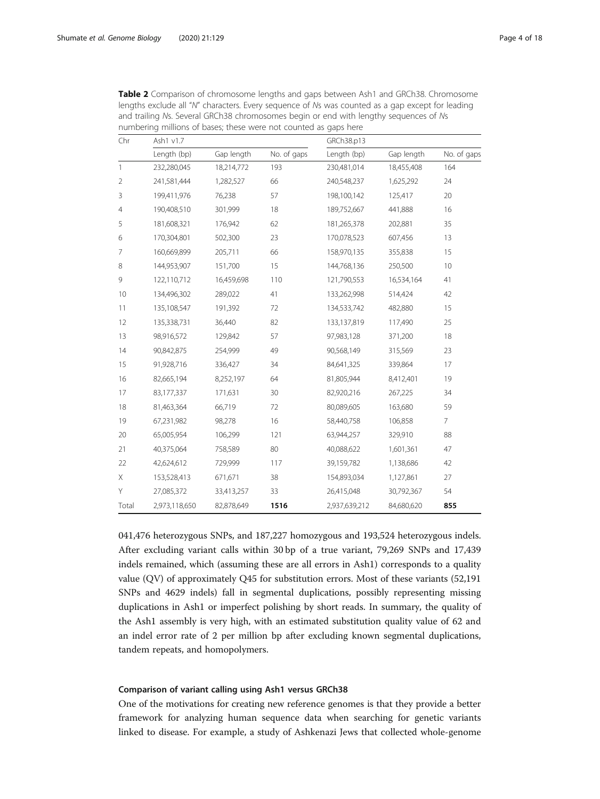| Chr            | Ash1 v1.7     |            | GRCh38.p13  |               |            |                |
|----------------|---------------|------------|-------------|---------------|------------|----------------|
|                | Length (bp)   | Gap length | No. of gaps | Length (bp)   | Gap length | No. of gaps    |
| $\mathbf{1}$   | 232,280,045   | 18,214,772 | 193         | 230,481,014   | 18,455,408 | 164            |
| $\overline{2}$ | 241,581,444   | 1,282,527  | 66          | 240,548,237   | 1,625,292  | 24             |
| 3              | 199,411,976   | 76,238     | 57          | 198,100,142   | 125,417    | 20             |
| $\overline{4}$ | 190,408,510   | 301,999    | 18          | 189,752,667   | 441,888    | 16             |
| 5              | 181,608,321   | 176,942    | 62          | 181,265,378   | 202,881    | 35             |
| 6              | 170,304,801   | 502,300    | 23          | 170,078,523   | 607,456    | 13             |
| 7              | 160,669,899   | 205,711    | 66          | 158,970,135   | 355,838    | 15             |
| 8              | 144,953,907   | 151,700    | 15          | 144,768,136   | 250,500    | 10             |
| 9              | 122,110,712   | 16,459,698 | 110         | 121,790,553   | 16,534,164 | 41             |
| 10             | 134,496,302   | 289,022    | 41          | 133,262,998   | 514,424    | 42             |
| 11             | 135,108,547   | 191,392    | 72          | 134,533,742   | 482,880    | 15             |
| 12             | 135,338,731   | 36,440     | 82          | 133,137,819   | 117,490    | 25             |
| 13             | 98,916,572    | 129,842    | 57          | 97,983,128    | 371,200    | 18             |
| 14             | 90,842,875    | 254,999    | 49          | 90,568,149    | 315,569    | 23             |
| 15             | 91,928,716    | 336,427    | 34          | 84,641,325    | 339,864    | 17             |
| 16             | 82,665,194    | 8,252,197  | 64          | 81,805,944    | 8,412,401  | 19             |
| 17             | 83,177,337    | 171,631    | 30          | 82,920,216    | 267,225    | 34             |
| 18             | 81,463,364    | 66,719     | 72          | 80,089,605    | 163,680    | 59             |
| 19             | 67,231,982    | 98,278     | 16          | 58,440,758    | 106,858    | $\overline{7}$ |
| 20             | 65,005,954    | 106,299    | 121         | 63,944,257    | 329,910    | 88             |
| 21             | 40,375,064    | 758,589    | 80          | 40,088,622    | 1,601,361  | 47             |
| 22             | 42,624,612    | 729,999    | 117         | 39,159,782    | 1,138,686  | 42             |
| Χ              | 153,528,413   | 671,671    | 38          | 154,893,034   | 1,127,861  | 27             |
| Y              | 27,085,372    | 33,413,257 | 33          | 26,415,048    | 30,792,367 | 54             |
| Total          | 2,973,118,650 | 82,878,649 | 1516        | 2,937,639,212 | 84,680,620 | 855            |

<span id="page-3-0"></span>Table 2 Comparison of chromosome lengths and gaps between Ash1 and GRCh38. Chromosome lengths exclude all "N" characters. Every sequence of Ns was counted as a gap except for leading and trailing Ns. Several GRCh38 chromosomes begin or end with lengthy sequences of Ns numbering millions of bases; these were not counted as gaps here

041,476 heterozygous SNPs, and 187,227 homozygous and 193,524 heterozygous indels. After excluding variant calls within 30 bp of a true variant, 79,269 SNPs and 17,439 indels remained, which (assuming these are all errors in Ash1) corresponds to a quality value (QV) of approximately Q45 for substitution errors. Most of these variants (52,191 SNPs and 4629 indels) fall in segmental duplications, possibly representing missing duplications in Ash1 or imperfect polishing by short reads. In summary, the quality of the Ash1 assembly is very high, with an estimated substitution quality value of 62 and an indel error rate of 2 per million bp after excluding known segmental duplications, tandem repeats, and homopolymers.

#### Comparison of variant calling using Ash1 versus GRCh38

One of the motivations for creating new reference genomes is that they provide a better framework for analyzing human sequence data when searching for genetic variants linked to disease. For example, a study of Ashkenazi Jews that collected whole-genome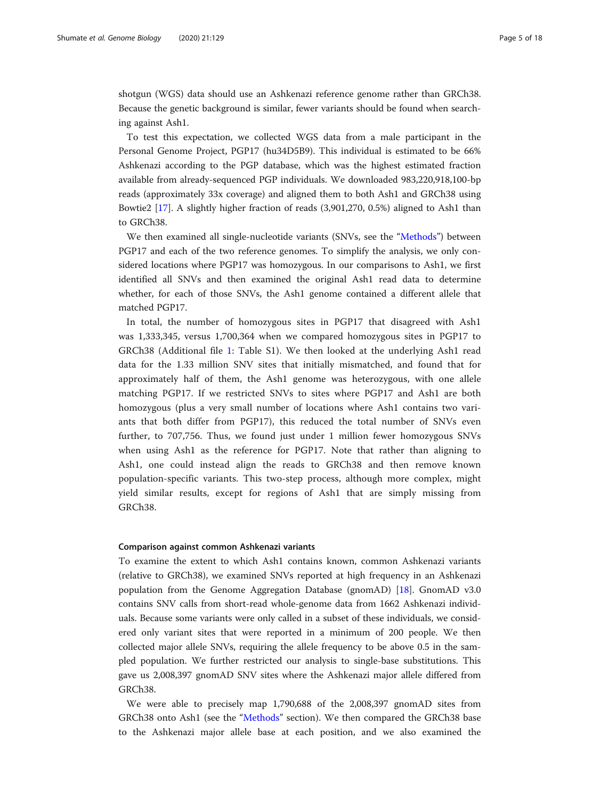shotgun (WGS) data should use an Ashkenazi reference genome rather than GRCh38. Because the genetic background is similar, fewer variants should be found when searching against Ash1.

To test this expectation, we collected WGS data from a male participant in the Personal Genome Project, PGP17 (hu34D5B9). This individual is estimated to be 66% Ashkenazi according to the PGP database, which was the highest estimated fraction available from already-sequenced PGP individuals. We downloaded 983,220,918,100-bp reads (approximately 33x coverage) and aligned them to both Ash1 and GRCh38 using Bowtie2 [[17\]](#page-16-0). A slightly higher fraction of reads (3,901,270, 0.5%) aligned to Ash1 than to GRCh38.

We then examined all single-nucleotide variants (SNVs, see the "[Methods](#page-12-0)") between PGP17 and each of the two reference genomes. To simplify the analysis, we only considered locations where PGP17 was homozygous. In our comparisons to Ash1, we first identified all SNVs and then examined the original Ash1 read data to determine whether, for each of those SNVs, the Ash1 genome contained a different allele that matched PGP17.

In total, the number of homozygous sites in PGP17 that disagreed with Ash1 was 1,333,345, versus 1,700,364 when we compared homozygous sites in PGP17 to GRCh38 (Additional file [1](#page-15-0): Table S1). We then looked at the underlying Ash1 read data for the 1.33 million SNV sites that initially mismatched, and found that for approximately half of them, the Ash1 genome was heterozygous, with one allele matching PGP17. If we restricted SNVs to sites where PGP17 and Ash1 are both homozygous (plus a very small number of locations where Ash1 contains two variants that both differ from PGP17), this reduced the total number of SNVs even further, to 707,756. Thus, we found just under 1 million fewer homozygous SNVs when using Ash1 as the reference for PGP17. Note that rather than aligning to Ash1, one could instead align the reads to GRCh38 and then remove known population-specific variants. This two-step process, although more complex, might yield similar results, except for regions of Ash1 that are simply missing from GRCh38.

#### Comparison against common Ashkenazi variants

To examine the extent to which Ash1 contains known, common Ashkenazi variants (relative to GRCh38), we examined SNVs reported at high frequency in an Ashkenazi population from the Genome Aggregation Database (gnomAD) [\[18](#page-16-0)]. GnomAD v3.0 contains SNV calls from short-read whole-genome data from 1662 Ashkenazi individuals. Because some variants were only called in a subset of these individuals, we considered only variant sites that were reported in a minimum of 200 people. We then collected major allele SNVs, requiring the allele frequency to be above 0.5 in the sampled population. We further restricted our analysis to single-base substitutions. This gave us 2,008,397 gnomAD SNV sites where the Ashkenazi major allele differed from GRCh38.

We were able to precisely map 1,790,688 of the 2,008,397 gnomAD sites from GRCh38 onto Ash1 (see the "[Methods](#page-12-0)" section). We then compared the GRCh38 base to the Ashkenazi major allele base at each position, and we also examined the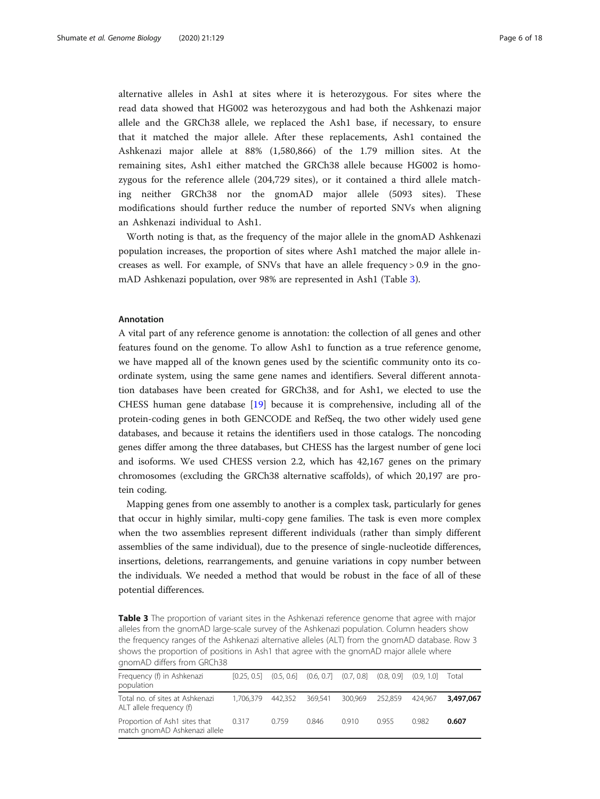alternative alleles in Ash1 at sites where it is heterozygous. For sites where the read data showed that HG002 was heterozygous and had both the Ashkenazi major allele and the GRCh38 allele, we replaced the Ash1 base, if necessary, to ensure that it matched the major allele. After these replacements, Ash1 contained the Ashkenazi major allele at 88% (1,580,866) of the 1.79 million sites. At the remaining sites, Ash1 either matched the GRCh38 allele because HG002 is homozygous for the reference allele (204,729 sites), or it contained a third allele matching neither GRCh38 nor the gnomAD major allele (5093 sites). These modifications should further reduce the number of reported SNVs when aligning an Ashkenazi individual to Ash1.

Worth noting is that, as the frequency of the major allele in the gnomAD Ashkenazi population increases, the proportion of sites where Ash1 matched the major allele increases as well. For example, of SNVs that have an allele frequency  $> 0.9$  in the gnomAD Ashkenazi population, over 98% are represented in Ash1 (Table 3).

#### Annotation

A vital part of any reference genome is annotation: the collection of all genes and other features found on the genome. To allow Ash1 to function as a true reference genome, we have mapped all of the known genes used by the scientific community onto its coordinate system, using the same gene names and identifiers. Several different annotation databases have been created for GRCh38, and for Ash1, we elected to use the CHESS human gene database [[19](#page-16-0)] because it is comprehensive, including all of the protein-coding genes in both GENCODE and RefSeq, the two other widely used gene databases, and because it retains the identifiers used in those catalogs. The noncoding genes differ among the three databases, but CHESS has the largest number of gene loci and isoforms. We used CHESS version 2.2, which has 42,167 genes on the primary chromosomes (excluding the GRCh38 alternative scaffolds), of which 20,197 are protein coding.

Mapping genes from one assembly to another is a complex task, particularly for genes that occur in highly similar, multi-copy gene families. The task is even more complex when the two assemblies represent different individuals (rather than simply different assemblies of the same individual), due to the presence of single-nucleotide differences, insertions, deletions, rearrangements, and genuine variations in copy number between the individuals. We needed a method that would be robust in the face of all of these potential differences.

Table 3 The proportion of variant sites in the Ashkenazi reference genome that agree with major alleles from the gnomAD large-scale survey of the Ashkenazi population. Column headers show the frequency ranges of the Ashkenazi alternative alleles (ALT) from the gnomAD database. Row 3 shows the proportion of positions in Ash1 that agree with the gnomAD major allele where gnomAD differs from GRCh38

| Frequency (f) in Ashkenazi<br>population                       | $[0.25, 0.5]$ $(0.5, 0.6]$ $(0.6, 0.7]$ $(0.7, 0.8]$ $(0.8, 0.9]$ $(0.9, 1.0]$ |         |         |                 |      |         | Total     |
|----------------------------------------------------------------|--------------------------------------------------------------------------------|---------|---------|-----------------|------|---------|-----------|
| Total no. of sites at Ashkenazi<br>ALT allele frequency (f)    | 1.706.379                                                                      | 442.352 | 369.541 | 300.969 252.859 |      | 424.967 | 3,497,067 |
| Proportion of Ash1 sites that<br>match gnomAD Ashkenazi allele | 0.317                                                                          | 0.759   | 0.846   | 0.910           | 0955 | 0.982   | 0.607     |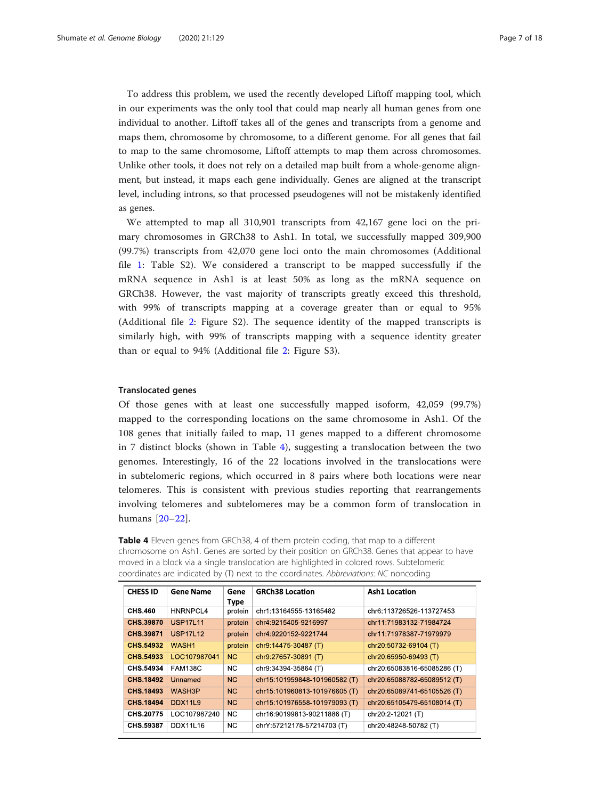<span id="page-6-0"></span>To address this problem, we used the recently developed Liftoff mapping tool, which in our experiments was the only tool that could map nearly all human genes from one individual to another. Liftoff takes all of the genes and transcripts from a genome and maps them, chromosome by chromosome, to a different genome. For all genes that fail to map to the same chromosome, Liftoff attempts to map them across chromosomes. Unlike other tools, it does not rely on a detailed map built from a whole-genome alignment, but instead, it maps each gene individually. Genes are aligned at the transcript level, including introns, so that processed pseudogenes will not be mistakenly identified as genes.

We attempted to map all 310,901 transcripts from 42,167 gene loci on the primary chromosomes in GRCh38 to Ash1. In total, we successfully mapped 309,900 (99.7%) transcripts from 42,070 gene loci onto the main chromosomes (Additional file [1](#page-15-0): Table S2). We considered a transcript to be mapped successfully if the mRNA sequence in Ash1 is at least 50% as long as the mRNA sequence on GRCh38. However, the vast majority of transcripts greatly exceed this threshold, with 99% of transcripts mapping at a coverage greater than or equal to 95% (Additional file [2:](#page-15-0) Figure S2). The sequence identity of the mapped transcripts is similarly high, with 99% of transcripts mapping with a sequence identity greater than or equal to 94% (Additional file [2:](#page-15-0) Figure S3).

#### Translocated genes

Of those genes with at least one successfully mapped isoform, 42,059 (99.7%) mapped to the corresponding locations on the same chromosome in Ash1. Of the 108 genes that initially failed to map, 11 genes mapped to a different chromosome in 7 distinct blocks (shown in Table 4), suggesting a translocation between the two genomes. Interestingly, 16 of the 22 locations involved in the translocations were in subtelomeric regions, which occurred in 8 pairs where both locations were near telomeres. This is consistent with previous studies reporting that rearrangements involving telomeres and subtelomeres may be a common form of translocation in humans [[20](#page-16-0)–[22\]](#page-16-0).

Table 4 Eleven genes from GRCh38, 4 of them protein coding, that map to a different chromosome on Ash1. Genes are sorted by their position on GRCh38. Genes that appear to have moved in a block via a single translocation are highlighted in colored rows. Subtelomeric coordinates are indicated by (T) next to the coordinates. Abbreviations: NC noncoding

| <b>CHESS ID</b>  | <b>Gene Name</b>  | Gene<br>Type   | <b>GRCh38 Location</b>        | <b>Ash1 Location</b>        |
|------------------|-------------------|----------------|-------------------------------|-----------------------------|
| CHS.460          | HNRNPCL4          | protein        | chr1:13164555-13165482        | chr6:113726526-113727453    |
| CHS.39870        | <b>USP17111</b>   | protein        | chr4:9215405-9216997          | chr11:71983132-71984724     |
| CHS.39871        | <b>USP17L12</b>   | protein        | chr4:9220152-9221744          | chr11:71978387-71979979     |
| CHS.54932        | WASH <sub>1</sub> | protein        | chr9:14475-30487 (T)          | chr20:50732-69104 (T)       |
| CHS.54933        | LOC107987041      | <b>NC</b>      | chr9:27657-30891 (T)          | chr20:65950-69493 (T)       |
| CHS.54934        | <b>FAM138C</b>    | <b>NC</b>      | chr9:34394-35864 (T)          | chr20:65083816-65085286 (T) |
| CHS.18492        | Unnamed           | N <sub>C</sub> | chr15:101959848-101960582 (T) | chr20:65088782-65089512 (T) |
| <b>CHS.18493</b> | WASH3P            | <b>NC</b>      | chr15:101960813-101976605 (T) | chr20:65089741-65105526 (T) |
| CHS.18494        | DDX1119           | <b>NC</b>      | chr15:101976558-101979093 (T) | chr20:65105479-65108014 (T) |
| CHS.20775        | LOC107987240      | N <sub>C</sub> | chr16:90199813-90211886 (T)   | chr20:2-12021 (T)           |
| CHS.59387        | DDX11L16          | N <sub>C</sub> | chrY:57212178-57214703 (T)    | chr20:48248-50782 (T)       |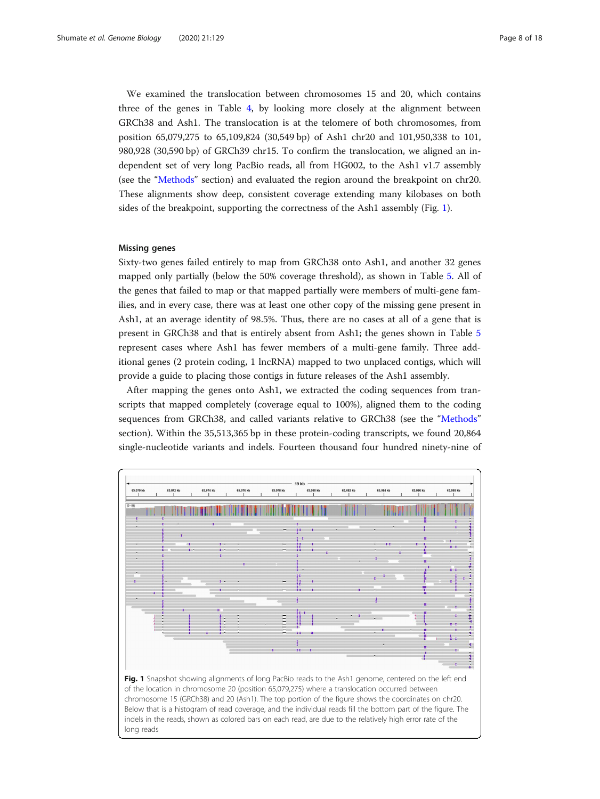We examined the translocation between chromosomes 15 and 20, which contains three of the genes in Table [4,](#page-6-0) by looking more closely at the alignment between GRCh38 and Ash1. The translocation is at the telomere of both chromosomes, from position 65,079,275 to 65,109,824 (30,549 bp) of Ash1 chr20 and 101,950,338 to 101, 980,928 (30,590 bp) of GRCh39 chr15. To confirm the translocation, we aligned an independent set of very long PacBio reads, all from HG002, to the Ash1 v1.7 assembly (see the "[Methods](#page-12-0)" section) and evaluated the region around the breakpoint on chr20. These alignments show deep, consistent coverage extending many kilobases on both sides of the breakpoint, supporting the correctness of the Ash1 assembly (Fig. 1).

#### Missing genes

Sixty-two genes failed entirely to map from GRCh38 onto Ash1, and another 32 genes mapped only partially (below the 50% coverage threshold), as shown in Table [5.](#page-8-0) All of the genes that failed to map or that mapped partially were members of multi-gene families, and in every case, there was at least one other copy of the missing gene present in Ash1, at an average identity of 98.5%. Thus, there are no cases at all of a gene that is present in GRCh38 and that is entirely absent from Ash1; the genes shown in Table [5](#page-8-0) represent cases where Ash1 has fewer members of a multi-gene family. Three additional genes (2 protein coding, 1 lncRNA) mapped to two unplaced contigs, which will provide a guide to placing those contigs in future releases of the Ash1 assembly.

After mapping the genes onto Ash1, we extracted the coding sequences from transcripts that mapped completely (coverage equal to 100%), aligned them to the coding sequences from GRCh38, and called variants relative to GRCh38 (see the "[Methods](#page-12-0)" section). Within the 35,513,365 bp in these protein-coding transcripts, we found 20,864 single-nucleotide variants and indels. Fourteen thousand four hundred ninety-nine of



chromosome 15 (GRCh38) and 20 (Ash1). The top portion of the figure shows the coordinates on chr20. Below that is a histogram of read coverage, and the individual reads fill the bottom part of the figure. The indels in the reads, shown as colored bars on each read, are due to the relatively high error rate of the long reads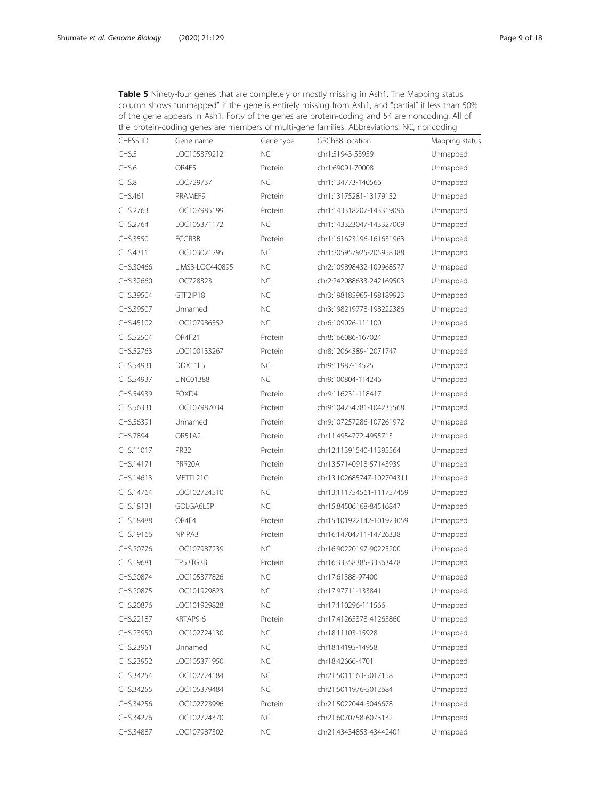|           | gene appears in month, it only to the genes are protein eounig and share noncounty.<br>the protein-coding genes are members of multi-gene families. Abbreviations: NC, noncoding |           |                           |                |  |
|-----------|----------------------------------------------------------------------------------------------------------------------------------------------------------------------------------|-----------|---------------------------|----------------|--|
| CHESS ID  | Gene name                                                                                                                                                                        | Gene type | GRCh38 location           | Mapping status |  |
| CHS.5     | LOC105379212                                                                                                                                                                     | <b>NC</b> | chr1:51943-53959          | Unmapped       |  |
| CHS.6     | OR4F5                                                                                                                                                                            | Protein   | chr1:69091-70008          | Unmapped       |  |
| CHS.8     | LOC729737                                                                                                                                                                        | NC        | chr1:134773-140566        | Unmapped       |  |
| CHS.461   | PRAMEF9                                                                                                                                                                          | Protein   | chr1:13175281-13179132    | Unmapped       |  |
| CHS.2763  | LOC107985199                                                                                                                                                                     | Protein   | chr1:143318207-143319096  | Unmapped       |  |
| CHS.2764  | LOC105371172                                                                                                                                                                     | <b>NC</b> | chr1:143323047-143327009  | Unmapped       |  |
| CHS.3550  | FCGR3B                                                                                                                                                                           | Protein   | chr1:161623196-161631963  | Unmapped       |  |
| CHS.4311  | LOC103021295                                                                                                                                                                     | <b>NC</b> | chr1:205957925-205958388  | Unmapped       |  |
| CHS.30466 | LIMS3-LOC440895                                                                                                                                                                  | NC        | chr2:109898432-109968577  | Unmapped       |  |
| CHS.32660 | LOC728323                                                                                                                                                                        | NC        | chr2:242088633-242169503  | Unmapped       |  |
| CHS.39504 | GTF2IP18                                                                                                                                                                         | NC        | chr3:198185965-198189923  | Unmapped       |  |
| CHS.39507 | Unnamed                                                                                                                                                                          | NC        | chr3:198219778-198222386  | Unmapped       |  |
| CHS.45102 | LOC107986552                                                                                                                                                                     | NC        | chr6:109026-111100        | Unmapped       |  |
| CHS.52504 | OR4F21                                                                                                                                                                           | Protein   | chr8:166086-167024        | Unmapped       |  |
| CHS.52763 | LOC100133267                                                                                                                                                                     | Protein   | chr8:12064389-12071747    | Unmapped       |  |
| CHS.54931 | DDX11L5                                                                                                                                                                          | <b>NC</b> | chr9:11987-14525          | Unmapped       |  |
| CHS.54937 | <b>LINC01388</b>                                                                                                                                                                 | NC        | chr9:100804-114246        | Unmapped       |  |
| CHS.54939 | FOXD4                                                                                                                                                                            | Protein   | chr9:116231-118417        | Unmapped       |  |
| CHS.56331 | LOC107987034                                                                                                                                                                     | Protein   | chr9:104234781-104235568  | Unmapped       |  |
| CHS.56391 | Unnamed                                                                                                                                                                          | Protein   | chr9:107257286-107261972  | Unmapped       |  |
| CHS.7894  | <b>OR51A2</b>                                                                                                                                                                    | Protein   | chr11:4954772-4955713     | Unmapped       |  |
| CHS.11017 | PRB <sub>2</sub>                                                                                                                                                                 | Protein   | chr12:11391540-11395564   | Unmapped       |  |
| CHS.14171 | PRR20A                                                                                                                                                                           | Protein   | chr13:57140918-57143939   | Unmapped       |  |
| CHS.14613 | METTL21C                                                                                                                                                                         | Protein   | chr13:102685747-102704311 | Unmapped       |  |
| CHS.14764 | LOC102724510                                                                                                                                                                     | <b>NC</b> | chr13:111754561-111757459 | Unmapped       |  |
| CHS.18131 | GOLGA6L5P                                                                                                                                                                        | NC        | chr15:84506168-84516847   | Unmapped       |  |
| CHS.18488 | OR4F4                                                                                                                                                                            | Protein   | chr15:101922142-101923059 | Unmapped       |  |
| CHS.19166 | NPIPA3                                                                                                                                                                           | Protein   | chr16:14704711-14726338   | Unmapped       |  |
| CHS.20776 | LOC107987239                                                                                                                                                                     | NC        | chr16:90220197-90225200   | Unmapped       |  |
| CHS.19681 | TP53TG3B                                                                                                                                                                         | Protein   | chr16:33358385-33363478   | Unmapped       |  |
| CHS.20874 | LOC105377826                                                                                                                                                                     | <b>NC</b> | chr17:61388-97400         | Unmapped       |  |
| CHS.20875 | LOC101929823                                                                                                                                                                     | <b>NC</b> | chr17:97711-133841        | Unmapped       |  |
| CHS.20876 | LOC101929828                                                                                                                                                                     | <b>NC</b> | chr17:110296-111566       | Unmapped       |  |
| CHS.22187 | KRTAP9-6                                                                                                                                                                         | Protein   | chr17:41265378-41265860   | Unmapped       |  |
| CHS.23950 | LOC102724130                                                                                                                                                                     | <b>NC</b> | chr18:11103-15928         | Unmapped       |  |
| CHS.23951 | Unnamed                                                                                                                                                                          | <b>NC</b> | chr18:14195-14958         | Unmapped       |  |
| CHS.23952 | LOC105371950                                                                                                                                                                     | <b>NC</b> | chr18:42666-4701          | Unmapped       |  |
| CHS.34254 | LOC102724184                                                                                                                                                                     | <b>NC</b> | chr21:5011163-5017158     | Unmapped       |  |
| CHS.34255 | LOC105379484                                                                                                                                                                     | <b>NC</b> | chr21:5011976-5012684     | Unmapped       |  |
| CHS.34256 | LOC102723996                                                                                                                                                                     | Protein   | chr21:5022044-5046678     | Unmapped       |  |
| CHS.34276 | LOC102724370                                                                                                                                                                     | <b>NC</b> | chr21:6070758-6073132     | Unmapped       |  |
| CHS.34887 | LOC107987302                                                                                                                                                                     | <b>NC</b> | chr21:43434853-43442401   | Unmapped       |  |

<span id="page-8-0"></span>Table 5 Ninety-four genes that are completely or mostly missing in Ash1. The Mapping status column shows "unmapped" if the gene is entirely missing from Ash1, and "partial" if less than 50% of the gene appears in Ash1. Forty of the genes are protein-coding and 54 are noncoding. All of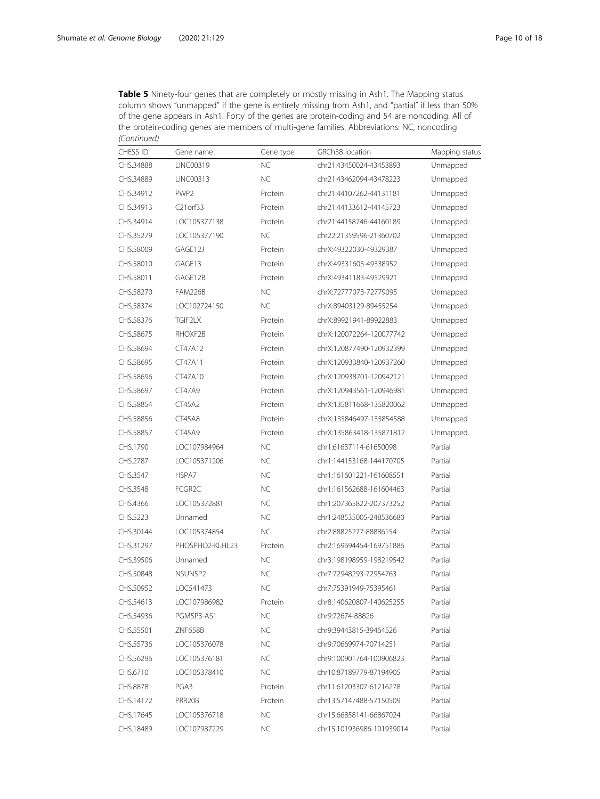| <b>Table 5</b> Ninety-four genes that are completely or mostly missing in Ash1. The Mapping status |  |
|----------------------------------------------------------------------------------------------------|--|
| column shows "unmapped" if the gene is entirely missing from Ash1, and "partial" if less than 50%  |  |
| of the gene appears in Ash1. Forty of the genes are protein-coding and 54 are noncoding. All of    |  |
| the protein-coding genes are members of multi-gene families. Abbreviations: NC, noncoding          |  |
| (Continued)                                                                                        |  |

| <b>CHESS ID</b> | Gene name        | Gene type | GRCh38 location           | Mapping status |
|-----------------|------------------|-----------|---------------------------|----------------|
| CHS.34888       | LINC00319        | <b>NC</b> | chr21:43450024-43453893   | Unmapped       |
| CHS.34889       | LINC00313        | <b>NC</b> | chr21:43462094-43478223   | Unmapped       |
| CHS.34912       | PWP <sub>2</sub> | Protein   | chr21:44107262-44131181   | Unmapped       |
| CHS.34913       | C21orf33         | Protein   | chr21:44133612-44145723   | Unmapped       |
| CHS.34914       | LOC105377138     | Protein   | chr21:44158746-44160189   | Unmapped       |
| CHS.35279       | LOC105377190     | <b>NC</b> | chr22:21359596-21360702   | Unmapped       |
| CHS.58009       | GAGE12J          | Protein   | chrX:49322030-49329387    | Unmapped       |
| CHS.58010       | GAGE13           | Protein   | chrX:49331603-49338952    | Unmapped       |
| CHS.58011       | GAGE12B          | Protein   | chrX:49341183-49529921    | Unmapped       |
| CHS.58270       | <b>FAM226B</b>   | <b>NC</b> | chrX:72777073-72779095    | Unmapped       |
| CHS.58374       | LOC102724150     | <b>NC</b> | chrX:89403129-89455254    | Unmapped       |
| CHS.58376       | TGIF2LX          | Protein   | chrX:89921941-89922883    | Unmapped       |
| CHS.58675       | RHOXF2B          | Protein   | chrX:120072264-120077742  | Unmapped       |
| CHS.58694       | CT47A12          | Protein   | chrX:120877490-120932399  | Unmapped       |
| CHS.58695       | CT47A11          | Protein   | chrX:120933840-120937260  | Unmapped       |
| CHS.58696       | CT47A10          | Protein   | chrX:120938701-120942121  | Unmapped       |
| CHS.58697       | <b>CT47A9</b>    | Protein   | chrX:120943561-120946981  | Unmapped       |
| CHS.58854       | <b>CT45A2</b>    | Protein   | chrX:135811668-135820062  | Unmapped       |
| CHS.58856       | <b>CT45A8</b>    | Protein   | chrX:135846497-135854588  | Unmapped       |
| CHS.58857       | <b>CT45A9</b>    | Protein   | chrX:135863418-135871812  | Unmapped       |
| CHS.1790        | LOC107984964     | <b>NC</b> | chr1:61637114-61650098    | Partial        |
| CHS.2787        | LOC105371206     | <b>NC</b> | chr1:144153168-144170705  | Partial        |
| CHS.3547        | HSPA7            | <b>NC</b> | chr1:161601221-161608551  | Partial        |
| CHS.3548        | FCGR2C           | <b>NC</b> | chr1:161562688-161604463  | Partial        |
| CHS.4366        | LOC105372881     | <b>NC</b> | chr1:207365822-207373252  | Partial        |
| CHS.5223        | Unnamed          | <b>NC</b> | chr1:248535005-248536680  | Partial        |
| CHS.30144       | LOC105374854     | <b>NC</b> | chr2:88825277-88886154    | Partial        |
| CHS.31297       | PHOSPHO2-KLHL23  | Protein   | chr2:169694454-169751886  | Partial        |
| CHS.39506       | Unnamed          | <b>NC</b> | chr3:198198959-198219542  | Partial        |
| CHS.50848       | NSUN5P2          | <b>NC</b> | chr7:72948293-72954763    | Partial        |
| CHS.50952       | LOC541473        | <b>NC</b> | chr7:75391949-75395461    | Partial        |
| CHS.54613       | LOC107986982     | Protein   | chr8:140620807-140625255  | Partial        |
| CHS.54936       | PGM5P3-AS1       | <b>NC</b> | chr9:72674-88826          | Partial        |
| CHS.55501       | ZNF658B          | <b>NC</b> | chr9:39443815-39464526    | Partial        |
| CHS.55736       | LOC105376078     | NC.       | chr9:70669974-70714251    | Partial        |
| CHS.56296       | LOC105376181     | NC.       | chr9:100901764-100906823  | Partial        |
| CHS.6710        | LOC105378410     | <b>NC</b> | chr10:87189779-87194905   | Partial        |
| CHS.8878        | PGA3             | Protein   | chr11:61203307-61216278   | Partial        |
| CHS.14172       | PRR20B           | Protein   | chr13:57147488-57150509   | Partial        |
| CHS.17645       | LOC105376718     | NC        | chr15:66858141-66867024   | Partial        |
| CHS.18489       | LOC107987229     | <b>NC</b> | chr15:101936986-101939014 | Partial        |
|                 |                  |           |                           |                |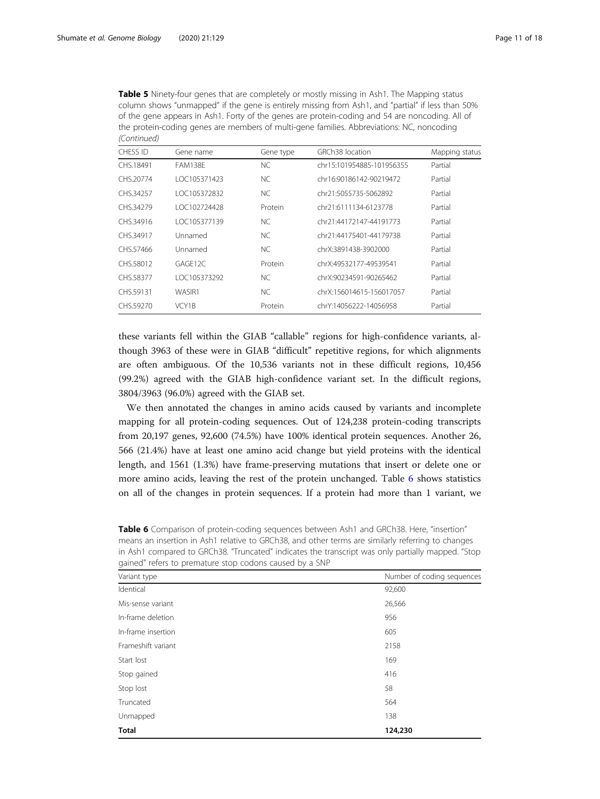| <b>Table 5</b> Ninety-four genes that are completely or mostly missing in Ash1. The Mapping status |
|----------------------------------------------------------------------------------------------------|
| column shows "unmapped" if the gene is entirely missing from Ash1, and "partial" if less than 50%  |
| of the gene appears in Ash1. Forty of the genes are protein-coding and 54 are noncoding. All of    |
| the protein-coding genes are members of multi-gene families. Abbreviations: NC, noncoding          |
| (Continued)                                                                                        |

| CHESS ID  | Gene name      | Gene type | GRCh38 location           | Mapping status |
|-----------|----------------|-----------|---------------------------|----------------|
| CHS.18491 | <b>FAM138E</b> | <b>NC</b> | chr15:101954885-101956355 | Partial        |
| CHS.20774 | LOC105371423   | NC.       | chr16:90186142-90219472   | Partial        |
| CHS.34257 | 10C105372832   | <b>NC</b> | chr21:5055735-5062892     | Partial        |
| CHS.34279 | LOC102724428   | Protein   | chr21:6111134-6123778     | Partial        |
| CHS.34916 | LOC105377139   | NC.       | chr21:44172147-44191773   | Partial        |
| CHS.34917 | Unnamed        | <b>NC</b> | chr21:44175401-44179738   | Partial        |
| CHS.57466 | Unnamed        | NC.       | chrX:3891438-3902000      | Partial        |
| CHS.58012 | GAGF12C        | Protein   | chrX:49532177-49539541    | Partial        |
| CHS.58377 | LOC105373292   | NC.       | chrX:90234591-90265462    | Partial        |
| CHS.59131 | WASIR1         | <b>NC</b> | chrX:156014615-156017057  | Partial        |
| CHS.59270 | VCY1B          | Protein   | chrY:14056222-14056958    | Partial        |

these variants fell within the GIAB "callable" regions for high-confidence variants, although 3963 of these were in GIAB "difficult" repetitive regions, for which alignments are often ambiguous. Of the 10,536 variants not in these difficult regions, 10,456 (99.2%) agreed with the GIAB high-confidence variant set. In the difficult regions, 3804/3963 (96.0%) agreed with the GIAB set.

We then annotated the changes in amino acids caused by variants and incomplete mapping for all protein-coding sequences. Out of 124,238 protein-coding transcripts from 20,197 genes, 92,600 (74.5%) have 100% identical protein sequences. Another 26, 566 (21.4%) have at least one amino acid change but yield proteins with the identical length, and 1561 (1.3%) have frame-preserving mutations that insert or delete one or more amino acids, leaving the rest of the protein unchanged. Table 6 shows statistics on all of the changes in protein sequences. If a protein had more than 1 variant, we

Table 6 Comparison of protein-coding sequences between Ash1 and GRCh38. Here, "insertion" means an insertion in Ash1 relative to GRCh38, and other terms are similarly referring to changes in Ash1 compared to GRCh38. "Truncated" indicates the transcript was only partially mapped. "Stop gained" refers to premature stop codons caused by a SNP

| Variant type       | Number of coding sequences |
|--------------------|----------------------------|
| Identical          | 92,600                     |
| Mis-sense variant  | 26,566                     |
| In-frame deletion  | 956                        |
| In-frame insertion | 605                        |
| Frameshift variant | 2158                       |
| Start lost         | 169                        |
| Stop gained        | 416                        |
| Stop lost          | 58                         |
| Truncated          | 564                        |
| Unmapped           | 138                        |
| <b>Total</b>       | 124,230                    |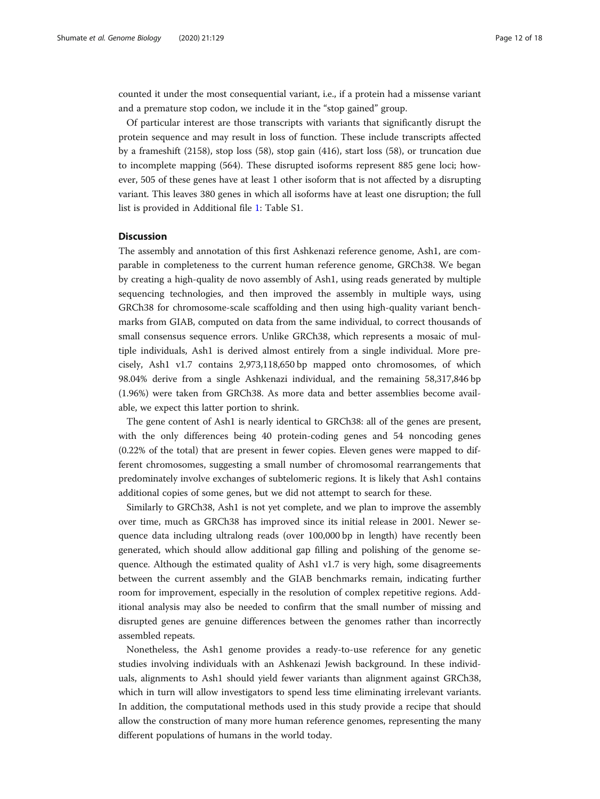counted it under the most consequential variant, i.e., if a protein had a missense variant and a premature stop codon, we include it in the "stop gained" group.

Of particular interest are those transcripts with variants that significantly disrupt the protein sequence and may result in loss of function. These include transcripts affected by a frameshift (2158), stop loss (58), stop gain (416), start loss (58), or truncation due to incomplete mapping (564). These disrupted isoforms represent 885 gene loci; however, 505 of these genes have at least 1 other isoform that is not affected by a disrupting variant. This leaves 380 genes in which all isoforms have at least one disruption; the full list is provided in Additional file [1](#page-15-0): Table S1.

#### **Discussion**

The assembly and annotation of this first Ashkenazi reference genome, Ash1, are comparable in completeness to the current human reference genome, GRCh38. We began by creating a high-quality de novo assembly of Ash1, using reads generated by multiple sequencing technologies, and then improved the assembly in multiple ways, using GRCh38 for chromosome-scale scaffolding and then using high-quality variant benchmarks from GIAB, computed on data from the same individual, to correct thousands of small consensus sequence errors. Unlike GRCh38, which represents a mosaic of multiple individuals, Ash1 is derived almost entirely from a single individual. More precisely, Ash1 v1.7 contains 2,973,118,650 bp mapped onto chromosomes, of which 98.04% derive from a single Ashkenazi individual, and the remaining 58,317,846 bp (1.96%) were taken from GRCh38. As more data and better assemblies become available, we expect this latter portion to shrink.

The gene content of Ash1 is nearly identical to GRCh38: all of the genes are present, with the only differences being 40 protein-coding genes and 54 noncoding genes (0.22% of the total) that are present in fewer copies. Eleven genes were mapped to different chromosomes, suggesting a small number of chromosomal rearrangements that predominately involve exchanges of subtelomeric regions. It is likely that Ash1 contains additional copies of some genes, but we did not attempt to search for these.

Similarly to GRCh38, Ash1 is not yet complete, and we plan to improve the assembly over time, much as GRCh38 has improved since its initial release in 2001. Newer sequence data including ultralong reads (over 100,000 bp in length) have recently been generated, which should allow additional gap filling and polishing of the genome sequence. Although the estimated quality of Ash1 v1.7 is very high, some disagreements between the current assembly and the GIAB benchmarks remain, indicating further room for improvement, especially in the resolution of complex repetitive regions. Additional analysis may also be needed to confirm that the small number of missing and disrupted genes are genuine differences between the genomes rather than incorrectly assembled repeats.

Nonetheless, the Ash1 genome provides a ready-to-use reference for any genetic studies involving individuals with an Ashkenazi Jewish background. In these individuals, alignments to Ash1 should yield fewer variants than alignment against GRCh38, which in turn will allow investigators to spend less time eliminating irrelevant variants. In addition, the computational methods used in this study provide a recipe that should allow the construction of many more human reference genomes, representing the many different populations of humans in the world today.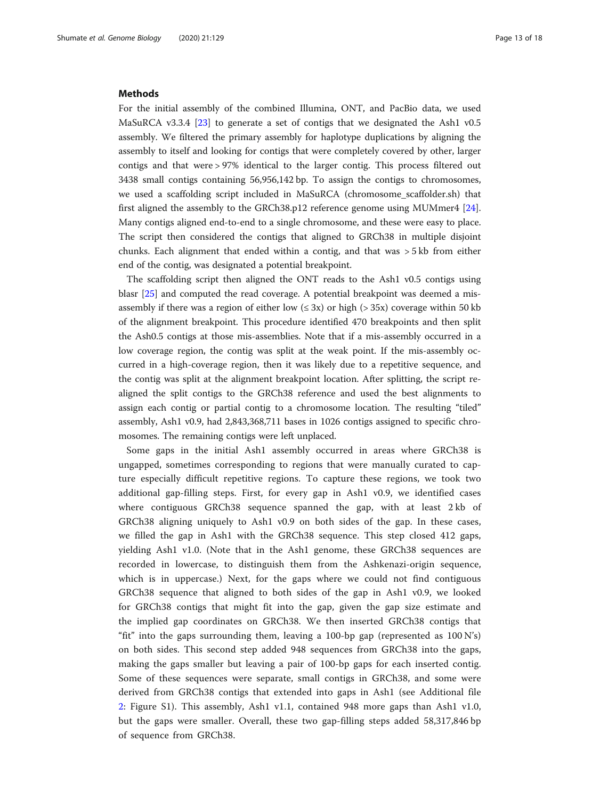#### <span id="page-12-0"></span>Methods

For the initial assembly of the combined Illumina, ONT, and PacBio data, we used MaSuRCA v3.3.4 [\[23](#page-16-0)] to generate a set of contigs that we designated the Ash1 v0.5 assembly. We filtered the primary assembly for haplotype duplications by aligning the assembly to itself and looking for contigs that were completely covered by other, larger contigs and that were > 97% identical to the larger contig. This process filtered out 3438 small contigs containing 56,956,142 bp. To assign the contigs to chromosomes, we used a scaffolding script included in MaSuRCA (chromosome\_scaffolder.sh) that first aligned the assembly to the GRCh38.p12 reference genome using MUMmer4 [[24](#page-16-0)]. Many contigs aligned end-to-end to a single chromosome, and these were easy to place. The script then considered the contigs that aligned to GRCh38 in multiple disjoint chunks. Each alignment that ended within a contig, and that was  $>$  5 kb from either end of the contig, was designated a potential breakpoint.

The scaffolding script then aligned the ONT reads to the Ash1 v0.5 contigs using blasr [[25\]](#page-16-0) and computed the read coverage. A potential breakpoint was deemed a misassembly if there was a region of either low  $(\leq 3x)$  or high ( $> 35x$ ) coverage within 50 kb of the alignment breakpoint. This procedure identified 470 breakpoints and then split the Ash0.5 contigs at those mis-assemblies. Note that if a mis-assembly occurred in a low coverage region, the contig was split at the weak point. If the mis-assembly occurred in a high-coverage region, then it was likely due to a repetitive sequence, and the contig was split at the alignment breakpoint location. After splitting, the script realigned the split contigs to the GRCh38 reference and used the best alignments to assign each contig or partial contig to a chromosome location. The resulting "tiled" assembly, Ash1 v0.9, had 2,843,368,711 bases in 1026 contigs assigned to specific chromosomes. The remaining contigs were left unplaced.

Some gaps in the initial Ash1 assembly occurred in areas where GRCh38 is ungapped, sometimes corresponding to regions that were manually curated to capture especially difficult repetitive regions. To capture these regions, we took two additional gap-filling steps. First, for every gap in Ash1 v0.9, we identified cases where contiguous GRCh38 sequence spanned the gap, with at least 2 kb of GRCh38 aligning uniquely to Ash1 v0.9 on both sides of the gap. In these cases, we filled the gap in Ash1 with the GRCh38 sequence. This step closed 412 gaps, yielding Ash1 v1.0. (Note that in the Ash1 genome, these GRCh38 sequences are recorded in lowercase, to distinguish them from the Ashkenazi-origin sequence, which is in uppercase.) Next, for the gaps where we could not find contiguous GRCh38 sequence that aligned to both sides of the gap in Ash1 v0.9, we looked for GRCh38 contigs that might fit into the gap, given the gap size estimate and the implied gap coordinates on GRCh38. We then inserted GRCh38 contigs that "fit" into the gaps surrounding them, leaving a 100-bp gap (represented as  $100 \text{ N/s}$ ) on both sides. This second step added 948 sequences from GRCh38 into the gaps, making the gaps smaller but leaving a pair of 100-bp gaps for each inserted contig. Some of these sequences were separate, small contigs in GRCh38, and some were derived from GRCh38 contigs that extended into gaps in Ash1 (see Additional file [2:](#page-15-0) Figure S1). This assembly, Ash1 v1.1, contained 948 more gaps than Ash1 v1.0, but the gaps were smaller. Overall, these two gap-filling steps added 58,317,846 bp of sequence from GRCh38.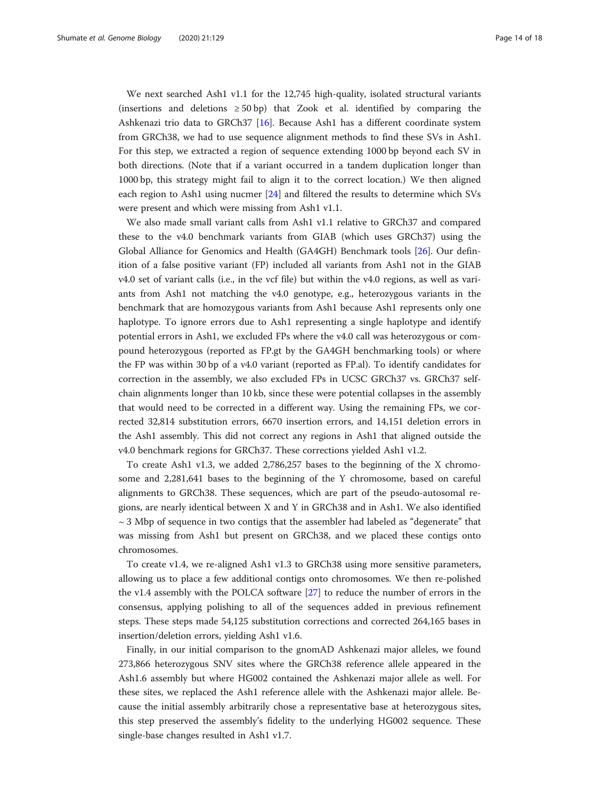We next searched Ash1 v1.1 for the 12,745 high-quality, isolated structural variants (insertions and deletions  $\geq 50$  bp) that Zook et al. identified by comparing the Ashkenazi trio data to GRCh37 [[16](#page-16-0)]. Because Ash1 has a different coordinate system from GRCh38, we had to use sequence alignment methods to find these SVs in Ash1. For this step, we extracted a region of sequence extending 1000 bp beyond each SV in both directions. (Note that if a variant occurred in a tandem duplication longer than 1000 bp, this strategy might fail to align it to the correct location.) We then aligned each region to Ash1 using nucmer [\[24](#page-16-0)] and filtered the results to determine which SVs were present and which were missing from Ash1 v1.1.

We also made small variant calls from Ash1 v1.1 relative to GRCh37 and compared these to the v4.0 benchmark variants from GIAB (which uses GRCh37) using the Global Alliance for Genomics and Health (GA4GH) Benchmark tools [[26\]](#page-16-0). Our definition of a false positive variant (FP) included all variants from Ash1 not in the GIAB v4.0 set of variant calls (i.e., in the vcf file) but within the v4.0 regions, as well as variants from Ash1 not matching the v4.0 genotype, e.g., heterozygous variants in the benchmark that are homozygous variants from Ash1 because Ash1 represents only one haplotype. To ignore errors due to Ash1 representing a single haplotype and identify potential errors in Ash1, we excluded FPs where the v4.0 call was heterozygous or compound heterozygous (reported as FP.gt by the GA4GH benchmarking tools) or where the FP was within 30 bp of a v4.0 variant (reported as FP.al). To identify candidates for correction in the assembly, we also excluded FPs in UCSC GRCh37 vs. GRCh37 selfchain alignments longer than 10 kb, since these were potential collapses in the assembly that would need to be corrected in a different way. Using the remaining FPs, we corrected 32,814 substitution errors, 6670 insertion errors, and 14,151 deletion errors in the Ash1 assembly. This did not correct any regions in Ash1 that aligned outside the v4.0 benchmark regions for GRCh37. These corrections yielded Ash1 v1.2.

To create Ash1 v1.3, we added 2,786,257 bases to the beginning of the X chromosome and 2,281,641 bases to the beginning of the Y chromosome, based on careful alignments to GRCh38. These sequences, which are part of the pseudo-autosomal regions, are nearly identical between X and Y in GRCh38 and in Ash1. We also identified  $\sim$  3 Mbp of sequence in two contigs that the assembler had labeled as "degenerate" that was missing from Ash1 but present on GRCh38, and we placed these contigs onto chromosomes.

To create v1.4, we re-aligned Ash1 v1.3 to GRCh38 using more sensitive parameters, allowing us to place a few additional contigs onto chromosomes. We then re-polished the v1.4 assembly with the POLCA software [[27\]](#page-16-0) to reduce the number of errors in the consensus, applying polishing to all of the sequences added in previous refinement steps. These steps made 54,125 substitution corrections and corrected 264,165 bases in insertion/deletion errors, yielding Ash1 v1.6.

Finally, in our initial comparison to the gnomAD Ashkenazi major alleles, we found 273,866 heterozygous SNV sites where the GRCh38 reference allele appeared in the Ash1.6 assembly but where HG002 contained the Ashkenazi major allele as well. For these sites, we replaced the Ash1 reference allele with the Ashkenazi major allele. Because the initial assembly arbitrarily chose a representative base at heterozygous sites, this step preserved the assembly's fidelity to the underlying HG002 sequence. These single-base changes resulted in Ash1 v1.7.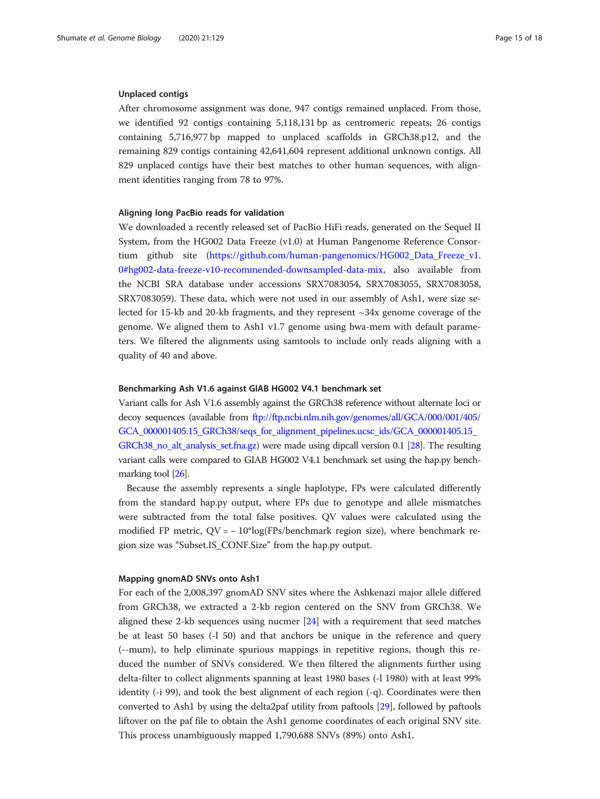#### Unplaced contigs

After chromosome assignment was done, 947 contigs remained unplaced. From those, we identified 92 contigs containing 5,118,131 bp as centromeric repeats; 26 contigs containing 5,716,977 bp mapped to unplaced scaffolds in GRCh38.p12, and the remaining 829 contigs containing 42,641,604 represent additional unknown contigs. All 829 unplaced contigs have their best matches to other human sequences, with alignment identities ranging from 78 to 97%.

#### Aligning long PacBio reads for validation

We downloaded a recently released set of PacBio HiFi reads, generated on the Sequel II System, from the HG002 Data Freeze (v1.0) at Human Pangenome Reference Consor-tium github site [\(https://github.com/human-pangenomics/HG002\\_Data\\_Freeze\\_v1.](https://github.com/human-pangenomics/HG002_Data_Freeze_v1.0#hg002-data-freeze-v10-recommended-downsampled-data-mix) [0#hg002-data-freeze-v10-recommended-downsampled-data-mix](https://github.com/human-pangenomics/HG002_Data_Freeze_v1.0#hg002-data-freeze-v10-recommended-downsampled-data-mix), also available from the NCBI SRA database under accessions SRX7083054, SRX7083055, SRX7083058, SRX7083059). These data, which were not used in our assembly of Ash1, were size selected for 15-kb and 20-kb fragments, and they represent ~34x genome coverage of the genome. We aligned them to Ash1 v1.7 genome using bwa-mem with default parameters. We filtered the alignments using samtools to include only reads aligning with a quality of 40 and above.

#### Benchmarking Ash V1.6 against GIAB HG002 V4.1 benchmark set

Variant calls for Ash V1.6 assembly against the GRCh38 reference without alternate loci or decoy sequences (available from [ftp://ftp.ncbi.nlm.nih.gov/genomes/all/GCA/000/001/405/](ftp://ftp.ncbi.nlm.nih.gov/genomes/all/GCA/000/001/405/GCA_000001405.15_GRCh38/seqs_for_alignment_pipelines.ucsc_ids/GCA_000001405.15_GRCh38_no_alt_analysis_set.fna.gz) [GCA\\_000001405.15\\_GRCh38/seqs\\_for\\_alignment\\_pipelines.ucsc\\_ids/GCA\\_000001405.15\\_](ftp://ftp.ncbi.nlm.nih.gov/genomes/all/GCA/000/001/405/GCA_000001405.15_GRCh38/seqs_for_alignment_pipelines.ucsc_ids/GCA_000001405.15_GRCh38_no_alt_analysis_set.fna.gz) [GRCh38\\_no\\_alt\\_analysis\\_set.fna.gz\)](ftp://ftp.ncbi.nlm.nih.gov/genomes/all/GCA/000/001/405/GCA_000001405.15_GRCh38/seqs_for_alignment_pipelines.ucsc_ids/GCA_000001405.15_GRCh38_no_alt_analysis_set.fna.gz) were made using dipcall version 0.1 [\[28\]](#page-16-0). The resulting variant calls were compared to GIAB HG002 V4.1 benchmark set using the hap.py bench-marking tool [[26](#page-16-0)].

Because the assembly represents a single haplotype, FPs were calculated differently from the standard hap.py output, where FPs due to genotype and allele mismatches were subtracted from the total false positives. QV values were calculated using the modified FP metric,  $QV = -10*log(FPs/benchmark region size)$ , where benchmark region size was "Subset.IS\_CONF.Size" from the hap.py output.

#### Mapping gnomAD SNVs onto Ash1

For each of the 2,008,397 gnomAD SNV sites where the Ashkenazi major allele differed from GRCh38, we extracted a 2-kb region centered on the SNV from GRCh38. We aligned these 2-kb sequences using nucmer [\[24](#page-16-0)] with a requirement that seed matches be at least 50 bases (-l 50) and that anchors be unique in the reference and query (--mum), to help eliminate spurious mappings in repetitive regions, though this reduced the number of SNVs considered. We then filtered the alignments further using delta-filter to collect alignments spanning at least 1980 bases (-l 1980) with at least 99% identity (-i 99), and took the best alignment of each region (-q). Coordinates were then converted to Ash1 by using the delta2paf utility from paftools [\[29\]](#page-16-0), followed by paftools liftover on the paf file to obtain the Ash1 genome coordinates of each original SNV site. This process unambiguously mapped 1,790,688 SNVs (89%) onto Ash1.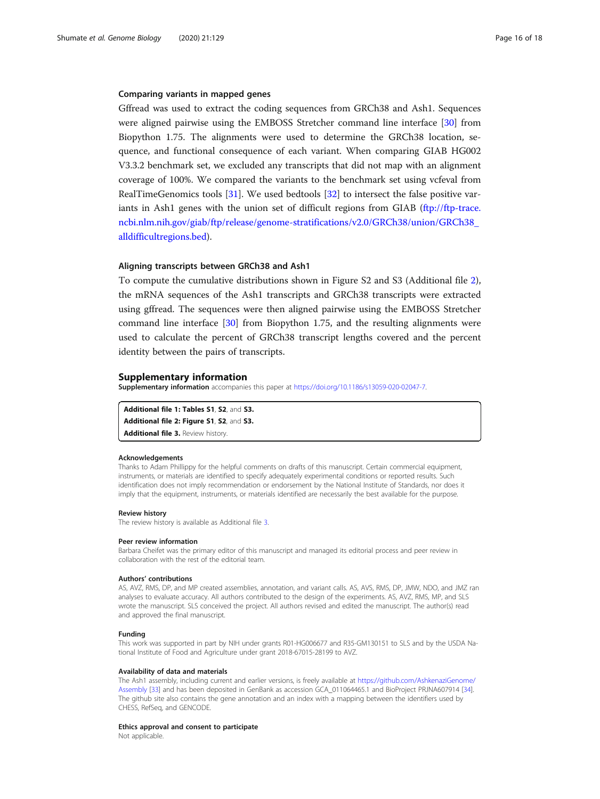#### <span id="page-15-0"></span>Comparing variants in mapped genes

Gffread was used to extract the coding sequences from GRCh38 and Ash1. Sequences were aligned pairwise using the EMBOSS Stretcher command line interface [\[30\]](#page-16-0) from Biopython 1.75. The alignments were used to determine the GRCh38 location, sequence, and functional consequence of each variant. When comparing GIAB HG002 V3.3.2 benchmark set, we excluded any transcripts that did not map with an alignment coverage of 100%. We compared the variants to the benchmark set using vcfeval from RealTimeGenomics tools [[31\]](#page-17-0). We used bedtools [[32\]](#page-17-0) to intersect the false positive var-iants in Ash1 genes with the union set of difficult regions from GIAB [\(ftp://ftp-trace.](ftp://ftp-trace.ncbi.nlm.nih.gov/giab/ftp/release/genome-stratifications/v2.0/GRCh38/union/GRCh38_alldifficultregions.bed) [ncbi.nlm.nih.gov/giab/ftp/release/genome-stratifications/v2.0/GRCh38/union/GRCh38\\_](ftp://ftp-trace.ncbi.nlm.nih.gov/giab/ftp/release/genome-stratifications/v2.0/GRCh38/union/GRCh38_alldifficultregions.bed) [alldifficultregions.bed](ftp://ftp-trace.ncbi.nlm.nih.gov/giab/ftp/release/genome-stratifications/v2.0/GRCh38/union/GRCh38_alldifficultregions.bed)).

#### Aligning transcripts between GRCh38 and Ash1

To compute the cumulative distributions shown in Figure S2 and S3 (Additional file 2), the mRNA sequences of the Ash1 transcripts and GRCh38 transcripts were extracted using gffread. The sequences were then aligned pairwise using the EMBOSS Stretcher command line interface [[30\]](#page-16-0) from Biopython 1.75, and the resulting alignments were used to calculate the percent of GRCh38 transcript lengths covered and the percent identity between the pairs of transcripts.

#### Supplementary information

Supplementary information accompanies this paper at <https://doi.org/10.1186/s13059-020-02047-7>.

Additional file 1: Tables S1, S2, and S3. Additional file 2: Figure S1, S2, and S3. Additional file 3. Review history.

#### Acknowledgements

Thanks to Adam Phillippy for the helpful comments on drafts of this manuscript. Certain commercial equipment, instruments, or materials are identified to specify adequately experimental conditions or reported results. Such identification does not imply recommendation or endorsement by the National Institute of Standards, nor does it imply that the equipment, instruments, or materials identified are necessarily the best available for the purpose.

#### Review history

The review history is available as Additional file 3.

#### Peer review information

Barbara Cheifet was the primary editor of this manuscript and managed its editorial process and peer review in collaboration with the rest of the editorial team.

#### Authors' contributions

AS, AVZ, RMS, DP, and MP created assemblies, annotation, and variant calls. AS, AVS, RMS, DP, JMW, NDO, and JMZ ran analyses to evaluate accuracy. All authors contributed to the design of the experiments. AS, AVZ, RMS, MP, and SLS wrote the manuscript. SLS conceived the project. All authors revised and edited the manuscript. The author(s) read and approved the final manuscript.

#### Funding

This work was supported in part by NIH under grants R01-HG006677 and R35-GM130151 to SLS and by the USDA National Institute of Food and Agriculture under grant 2018-67015-28199 to AVZ.

#### Availability of data and materials

The Ash1 assembly, including current and earlier versions, is freely available at [https://github.com/AshkenaziGenome/](https://github.com/AshkenaziGenome/Assembly) [Assembly](https://github.com/AshkenaziGenome/Assembly) [\[33](#page-17-0)] and has been deposited in GenBank as accession GCA\_011064465.1 and BioProject PRJNA607914 [\[34\]](#page-17-0). The github site also contains the gene annotation and an index with a mapping between the identifiers used by CHESS, RefSeq, and GENCODE.

#### Ethics approval and consent to participate

Not applicable.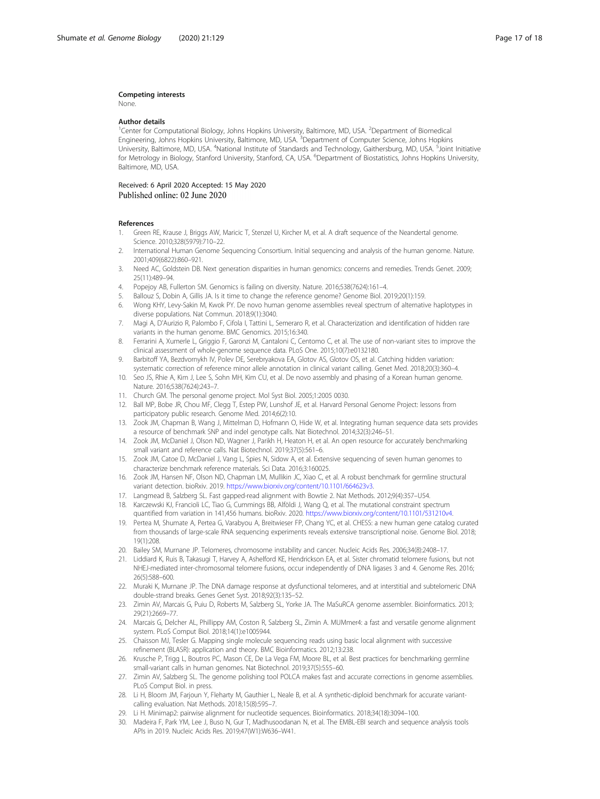#### <span id="page-16-0"></span>Competing interests

None.

#### Author details

<sup>1</sup> Center for Computational Biology, Johns Hopkins University, Baltimore, MD, USA. <sup>2</sup> Department of Biomedical Engineering, Johns Hopkins University, Baltimore, MD, USA. <sup>3</sup>Department of Computer Science, Johns Hopkins University, Baltimore, MD, USA. <sup>4</sup>National Institute of Standards and Technology, Gaithersburg, MD, USA. <sup>5</sup>Joint Initiative for Metrology in Biology, Stanford University, Stanford, CA, USA. <sup>6</sup>Department of Biostatistics, Johns Hopkins University Baltimore, MD, USA.

#### Received: 6 April 2020 Accepted: 15 May 2020 Published online: 02 June 2020

#### References

- 1. Green RE, Krause J, Briggs AW, Maricic T, Stenzel U, Kircher M, et al. A draft sequence of the Neandertal genome. Science. 2010;328(5979):710–22.
- 2. International Human Genome Sequencing Consortium. Initial sequencing and analysis of the human genome. Nature. 2001;409(6822):860–921.
- 3. Need AC, Goldstein DB. Next generation disparities in human genomics: concerns and remedies. Trends Genet. 2009; 25(11):489–94.
- 4. Popejoy AB, Fullerton SM. Genomics is failing on diversity. Nature. 2016;538(7624):161–4.
- 5. Ballouz S, Dobin A, Gillis JA. Is it time to change the reference genome? Genome Biol. 2019;20(1):159.
- 6. Wong KHY, Levy-Sakin M, Kwok PY. De novo human genome assemblies reveal spectrum of alternative haplotypes in diverse populations. Nat Commun. 2018;9(1):3040.
- 7. Magi A, D'Aurizio R, Palombo F, Cifola I, Tattini L, Semeraro R, et al. Characterization and identification of hidden rare variants in the human genome. BMC Genomics. 2015;16:340.
- 8. Ferrarini A, Xumerle L, Griggio F, Garonzi M, Cantaloni C, Centomo C, et al. The use of non-variant sites to improve the clinical assessment of whole-genome sequence data. PLoS One. 2015;10(7):e0132180.
- 9. Barbitoff YA, Bezdvornykh IV, Polev DE, Serebryakova EA, Glotov AS, Glotov OS, et al. Catching hidden variation: systematic correction of reference minor allele annotation in clinical variant calling. Genet Med. 2018;20(3):360–4.
- 10. Seo JS, Rhie A, Kim J, Lee S, Sohn MH, Kim CU, et al. De novo assembly and phasing of a Korean human genome. Nature. 2016;538(7624):243–7.
- 11. Church GM. The personal genome project. Mol Syst Biol. 2005;1:2005 0030.
- 12. Ball MP, Bobe JR, Chou MF, Clegg T, Estep PW, Lunshof JE, et al. Harvard Personal Genome Project: lessons from participatory public research. Genome Med. 2014;6(2):10.
- 13. Zook JM, Chapman B, Wang J, Mittelman D, Hofmann O, Hide W, et al. Integrating human sequence data sets provides a resource of benchmark SNP and indel genotype calls. Nat Biotechnol. 2014;32(3):246–51.
- 14. Zook JM, McDaniel J, Olson ND, Wagner J, Parikh H, Heaton H, et al. An open resource for accurately benchmarking small variant and reference calls. Nat Biotechnol. 2019;37(5):561–6.
- 15. Zook JM, Catoe D, McDaniel J, Vang L, Spies N, Sidow A, et al. Extensive sequencing of seven human genomes to characterize benchmark reference materials. Sci Data. 2016;3:160025.
- 16. Zook JM, Hansen NF, Olson ND, Chapman LM, Mullikin JC, Xiao C, et al. A robust benchmark for germline structural variant detection. bioRxiv. 2019. <https://www.biorxiv.org/content/10.1101/664623v3>.
- 17. Langmead B, Salzberg SL. Fast gapped-read alignment with Bowtie 2. Nat Methods. 2012;9(4):357–U54.
- 18. Karczewski KJ, Francioli LC, Tiao G, Cummings BB, Alföldi J, Wang Q, et al. The mutational constraint spectrum quantified from variation in 141,456 humans. bioRxiv. 2020. <https://www.biorxiv.org/content/10.1101/531210v4>.
- 19. Pertea M, Shumate A, Pertea G, Varabyou A, Breitwieser FP, Chang YC, et al. CHESS: a new human gene catalog curated from thousands of large-scale RNA sequencing experiments reveals extensive transcriptional noise. Genome Biol. 2018; 19(1):208.
- 20. Bailey SM, Murnane JP. Telomeres, chromosome instability and cancer. Nucleic Acids Res. 2006;34(8):2408–17.
- 21. Liddiard K, Ruis B, Takasugi T, Harvey A, Ashelford KE, Hendrickson EA, et al. Sister chromatid telomere fusions, but not NHEJ-mediated inter-chromosomal telomere fusions, occur independently of DNA ligases 3 and 4. Genome Res. 2016; 26(5):588–600.
- 22. Muraki K, Murnane JP. The DNA damage response at dysfunctional telomeres, and at interstitial and subtelomeric DNA double-strand breaks. Genes Genet Syst. 2018;92(3):135–52.
- 23. Zimin AV, Marcais G, Puiu D, Roberts M, Salzberg SL, Yorke JA. The MaSuRCA genome assembler. Bioinformatics. 2013; 29(21):2669–77.
- 24. Marcais G, Delcher AL, Phillippy AM, Coston R, Salzberg SL, Zimin A. MUMmer4: a fast and versatile genome alignment system. PLoS Comput Biol. 2018;14(1):e1005944.
- 25. Chaisson MJ, Tesler G. Mapping single molecule sequencing reads using basic local alignment with successive refinement (BLASR): application and theory. BMC Bioinformatics. 2012;13:238.
- 26. Krusche P, Trigg L, Boutros PC, Mason CE, De La Vega FM, Moore BL, et al. Best practices for benchmarking germline small-variant calls in human genomes. Nat Biotechnol. 2019;37(5):555–60.
- 27. Zimin AV, Salzberg SL. The genome polishing tool POLCA makes fast and accurate corrections in genome assemblies. PLoS Comput Biol. in press.
- 28. Li H, Bloom JM, Farjoun Y, Fleharty M, Gauthier L, Neale B, et al. A synthetic-diploid benchmark for accurate variantcalling evaluation. Nat Methods. 2018;15(8):595–7.
- 29. Li H. Minimap2: pairwise alignment for nucleotide sequences. Bioinformatics. 2018;34(18):3094–100.
- 30. Madeira F, Park YM, Lee J, Buso N, Gur T, Madhusoodanan N, et al. The EMBL-EBI search and sequence analysis tools APIs in 2019. Nucleic Acids Res. 2019;47(W1):W636–W41.